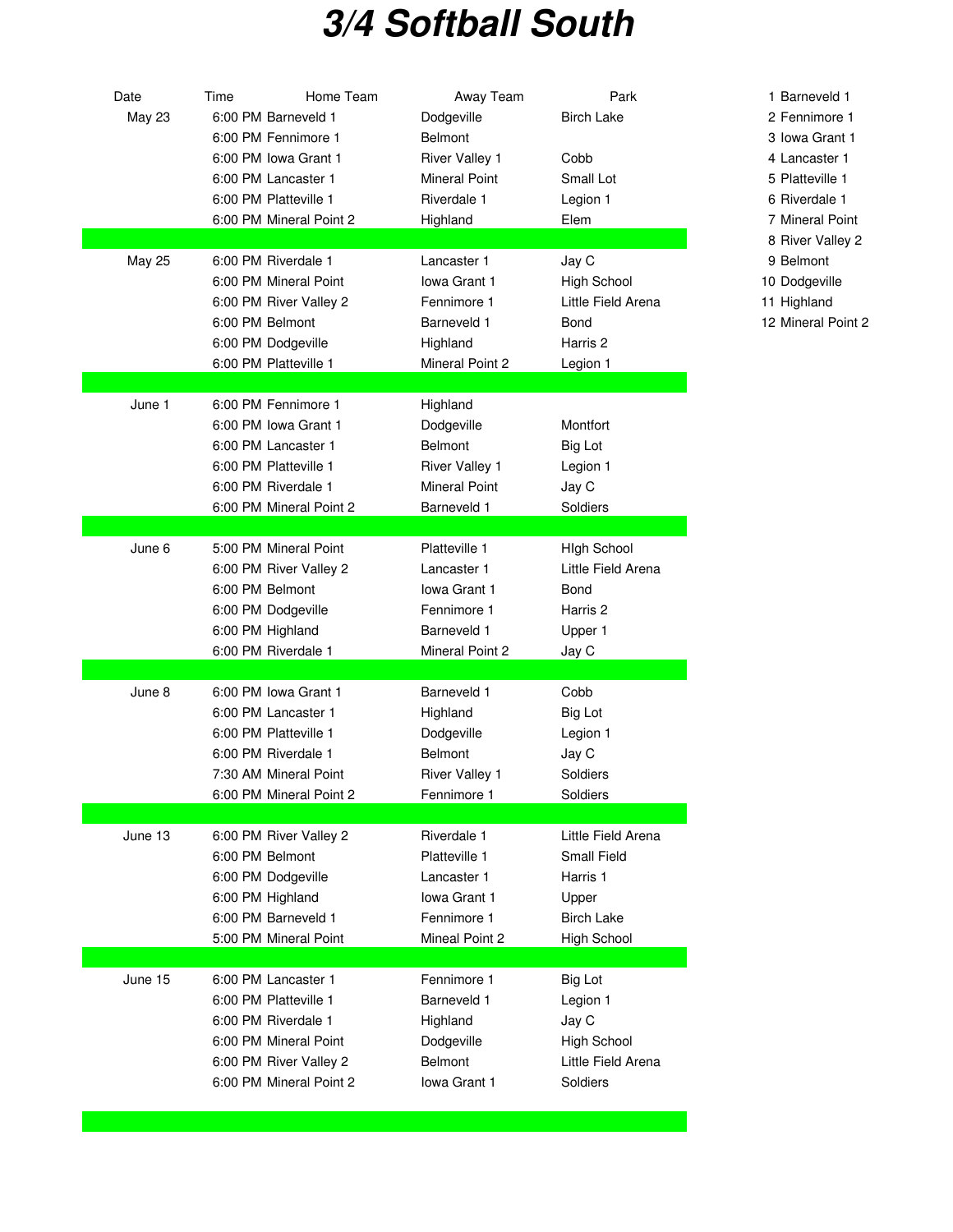## **3/4 Softball South**

| Date          | Home Team<br>Time       | Away Team             | Park                | 1 Barneve   |
|---------------|-------------------------|-----------------------|---------------------|-------------|
| <b>May 23</b> | 6:00 PM Barneveld 1     | Dodgeville            | <b>Birch Lake</b>   | 2 Fennimo   |
|               | 6:00 PM Fennimore 1     | <b>Belmont</b>        |                     | 3 Iowa Gra  |
|               | 6:00 PM Iowa Grant 1    | <b>River Valley 1</b> | Cobb                | 4 Lancast   |
|               | 6:00 PM Lancaster 1     | <b>Mineral Point</b>  | Small Lot           | 5 Plattevil |
|               | 6:00 PM Platteville 1   | Riverdale 1           | Legion 1            | 6 Riverdal  |
|               | 6:00 PM Mineral Point 2 | Highland              | Elem                | 7 Mineral   |
|               |                         |                       |                     | 8 River Va  |
| <b>May 25</b> | 6:00 PM Riverdale 1     | Lancaster 1           | Jay C               | 9 Belmont   |
|               | 6:00 PM Mineral Point   | Iowa Grant 1          | <b>High School</b>  | 10 Dodgevi  |
|               | 6:00 PM River Valley 2  | Fennimore 1           | Little Field Arena  | 11 Highland |
|               | 6:00 PM Belmont         | Barneveld 1           | Bond                | 12 Mineral  |
|               | 6:00 PM Dodgeville      | Highland              | Harris <sub>2</sub> |             |
|               | 6:00 PM Platteville 1   | Mineral Point 2       | Legion 1            |             |
|               |                         |                       |                     |             |
| June 1        | 6:00 PM Fennimore 1     | Highland              |                     |             |
|               | 6:00 PM Iowa Grant 1    | Dodgeville            | Montfort            |             |
|               | 6:00 PM Lancaster 1     | Belmont               | Big Lot             |             |
|               | 6:00 PM Platteville 1   | <b>River Valley 1</b> | Legion 1            |             |
|               | 6:00 PM Riverdale 1     | <b>Mineral Point</b>  | Jay C               |             |
|               | 6:00 PM Mineral Point 2 | Barneveld 1           | Soldiers            |             |
|               |                         |                       |                     |             |
| June 6        | 5:00 PM Mineral Point   | Platteville 1         | <b>High School</b>  |             |
|               | 6:00 PM River Valley 2  | Lancaster 1           | Little Field Arena  |             |
|               | 6:00 PM Belmont         | Iowa Grant 1          | Bond                |             |
|               | 6:00 PM Dodgeville      | Fennimore 1           | Harris 2            |             |
|               | 6:00 PM Highland        | Barneveld 1           | Upper 1             |             |
|               | 6:00 PM Riverdale 1     | Mineral Point 2       | Jay C               |             |
|               |                         |                       |                     |             |
| June 8        | 6:00 PM Iowa Grant 1    | Barneveld 1           | Cobb                |             |
|               | 6:00 PM Lancaster 1     | Highland              | <b>Big Lot</b>      |             |
|               | 6:00 PM Platteville 1   | Dodgeville            | Legion 1            |             |
|               | 6:00 PM Riverdale 1     | Belmont               | Jay C               |             |
|               | 7:30 AM Mineral Point   | <b>River Valley 1</b> | Soldiers            |             |
|               | 6:00 PM Mineral Point 2 | Fennimore 1           | Soldiers            |             |
|               |                         |                       |                     |             |
| June 13       | 6:00 PM River Valley 2  | Riverdale 1           | Little Field Arena  |             |
|               | 6:00 PM Belmont         | Platteville 1         | <b>Small Field</b>  |             |
|               | 6:00 PM Dodgeville      | Lancaster 1           | Harris 1            |             |
|               | 6:00 PM Highland        | Iowa Grant 1          | Upper               |             |
|               | 6:00 PM Barneveld 1     | Fennimore 1           | <b>Birch Lake</b>   |             |
|               | 5:00 PM Mineral Point   | Mineal Point 2        | <b>High School</b>  |             |
|               |                         |                       |                     |             |
| June 15       | 6:00 PM Lancaster 1     | Fennimore 1           | <b>Big Lot</b>      |             |
|               | 6:00 PM Platteville 1   | Barneveld 1           | Legion 1            |             |
|               | 6:00 PM Riverdale 1     | Highland              | Jay C               |             |
|               | 6:00 PM Mineral Point   | Dodgeville            | <b>High School</b>  |             |
|               | 6:00 PM River Valley 2  | Belmont               | Little Field Arena  |             |
|               | 6:00 PM Mineral Point 2 | <b>lowa Grant 1</b>   | Soldiers            |             |
|               |                         |                       |                     |             |

1 Barneveld 1

- 2 Fennimore 1
- 3 Iowa Grant 1
- 4 Lancaster 1

5 Platteville 1

- 6 Riverdale 1
- 7 Mineral Point
- 8 River Valley 2
- 
- 10 Dodgeville
- 11 Highland
- 12 Mineral Point 2